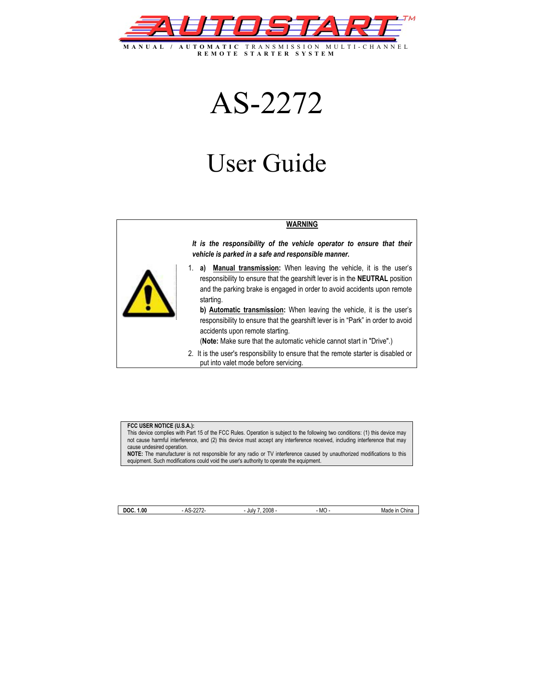

AS-2272

# User Guide

#### **WARNING**

*It is the responsibility of the vehicle operator to ensure that their vehicle is parked in a safe and responsible manner.* 



- 1. **a) Manual transmission:** When leaving the vehicle, it is the user's responsibility to ensure that the gearshift lever is in the **NEUTRAL** position and the parking brake is engaged in order to avoid accidents upon remote starting.
	- **b) Automatic transmission:** When leaving the vehicle, it is the user's responsibility to ensure that the gearshift lever is in "Park" in order to avoid accidents upon remote starting.

(**Note:** Make sure that the automatic vehicle cannot start in "Drive".)

2. It is the user's responsibility to ensure that the remote starter is disabled or put into valet mode before servicing.

#### **FCC USER NOTICE (U.S.A.):**

This device complies with Part 15 of the FCC Rules. Operation is subject to the following two conditions: (1) this device may not cause harmful interference, and (2) this device must accept any interference received, including interference that may cause undesired operation.

**NOTE:** The manufacturer is not responsible for any radio or TV interference caused by unauthorized modifications to this equipment. Such modifications could void the user's authority to operate the equipment.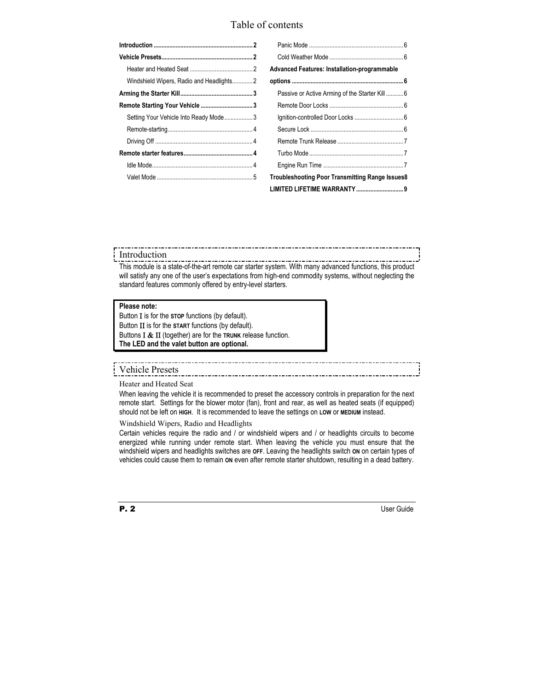## Table of contents

| Windshield Wipers, Radio and Headlights2 |
|------------------------------------------|
|                                          |
|                                          |
| Setting Your Vehicle Into Ready Mode3    |
|                                          |
|                                          |
|                                          |
|                                          |
|                                          |

| <b>Advanced Features: Installation-programmable</b> |  |  |  |
|-----------------------------------------------------|--|--|--|
|                                                     |  |  |  |
| Passive or Active Arming of the Starter Kill 6      |  |  |  |
|                                                     |  |  |  |
|                                                     |  |  |  |
|                                                     |  |  |  |
|                                                     |  |  |  |
|                                                     |  |  |  |
|                                                     |  |  |  |
| Troubleshooting Poor Transmitting Range Issues8     |  |  |  |
|                                                     |  |  |  |

#### Introduction

This module is a state-of-the-art remote car starter system. With many advanced functions, this product will satisfy any one of the user's expectations from high-end commodity systems, without neglecting the standard features commonly offered by entry-level starters.

# **Please note:**

Button Ι is for the **STOP** functions (by default). Button ΙΙ is for the **START** functions (by default). Buttons Ι & ΙΙ (together) are for the **TRUNK** release function. **The LED and the valet button are optional.** 

### Vehicle Presets

Heater and Heated Seat

When leaving the vehicle it is recommended to preset the accessory controls in preparation for the next remote start. Settings for the blower motor (fan), front and rear, as well as heated seats (if equipped) should not be left on **HIGH**. It is recommended to leave the settings on **LOW** or **MEDIUM** instead.

Windshield Wipers, Radio and Headlights

Certain vehicles require the radio and / or windshield wipers and / or headlights circuits to become energized while running under remote start. When leaving the vehicle you must ensure that the windshield wipers and headlights switches are **OFF**. Leaving the headlights switch **ON** on certain types of vehicles could cause them to remain **ON** even after remote starter shutdown, resulting in a dead battery.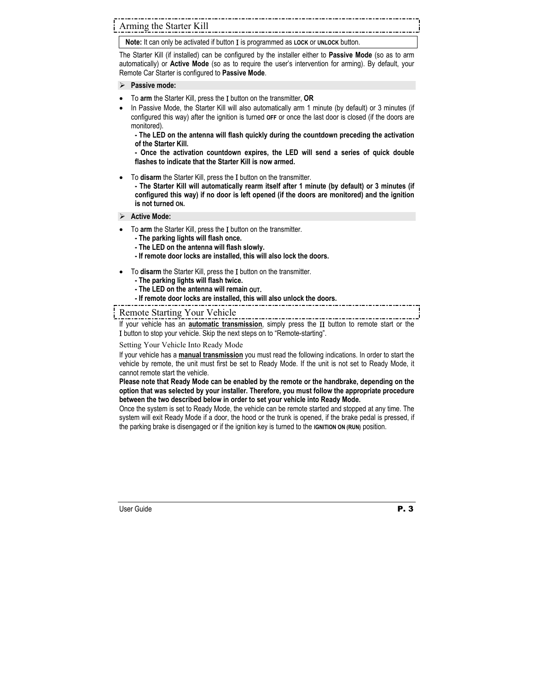**Note:** It can only be activated if button Ι is programmed as **LOCK** or **UNLOCK** button.

The Starter Kill (if installed) can be configured by the installer either to **Passive Mode** (so as to arm automatically) or **Active Mode** (so as to require the user's intervention for arming). By default, your Remote Car Starter is configured to **Passive Mode**.

#### Passive mode:

- To **arm** the Starter Kill, press the Ι button on the transmitter, **OR**
- In Passive Mode, the Starter Kill will also automatically arm 1 minute (by default) or 3 minutes (if configured this way) after the ignition is turned **OFF** or once the last door is closed (if the doors are monitored).

**- The LED on the antenna will flash quickly during the countdown preceding the activation of the Starter Kill.** 

**- Once the activation countdown expires, the LED will send a series of quick double flashes to indicate that the Starter Kill is now armed.** 

• To **disarm** the Starter Kill, press the Ι button on the transmitter.

**- The Starter Kill will automatically rearm itself after 1 minute (by default) or 3 minutes (if configured this way) if no door is left opened (if the doors are monitored) and the ignition is not turned ON.** 

#### ¾ **Active Mode:**

- To **arm** the Starter Kill, press the Ι button on the transmitter.
	- **The parking lights will flash once.**
	- **The LED on the antenna will flash slowly.**
	- **If remote door locks are installed, this will also lock the doors.**
- To **disarm** the Starter Kill, press the Ι button on the transmitter.
	- **The parking lights will flash twice.**
	- **The LED on the antenna will remain OUT.**
	- **If remote door locks are installed, this will also unlock the doors.**

Remote Starting Your Vehicle

If your vehicle has an **automatic transmission**, simply press the ΙΙ button to remote start or the Ι button to stop your vehicle. Skip the next steps on to "Remote-starting".

Setting Your Vehicle Into Ready Mode

If your vehicle has a **manual transmission** you must read the following indications. In order to start the vehicle by remote, the unit must first be set to Ready Mode. If the unit is not set to Ready Mode, it cannot remote start the vehicle.

**Please note that Ready Mode can be enabled by the remote or the handbrake, depending on the option that was selected by your installer. Therefore, you must follow the appropriate procedure between the two described below in order to set your vehicle into Ready Mode.** 

Once the system is set to Ready Mode, the vehicle can be remote started and stopped at any time. The system will exit Ready Mode if a door, the hood or the trunk is opened, if the brake pedal is pressed, if the parking brake is disengaged or if the ignition key is turned to the **IGNITION ON (RUN)** position.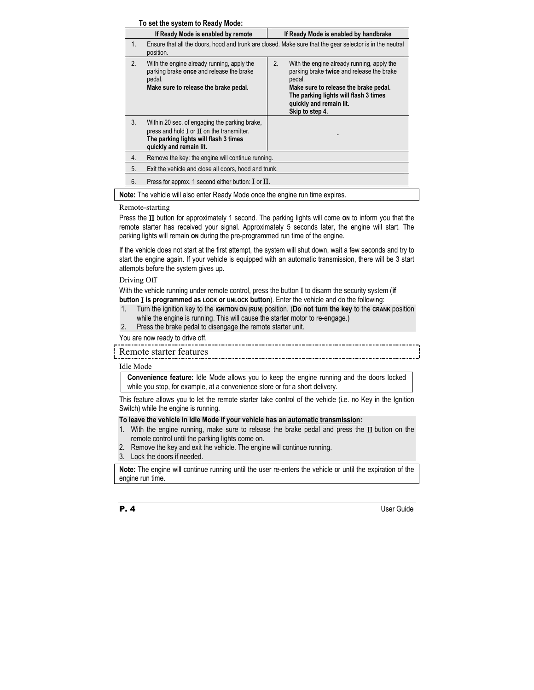#### **To set the system to Ready Mode:**

|    | TO SUI THE SYSIUM TO RUGGY MOUCH<br>If Ready Mode is enabled by remote                                                                                              | If Ready Mode is enabled by handbrake                                                                                                                                                                                                   |  |
|----|---------------------------------------------------------------------------------------------------------------------------------------------------------------------|-----------------------------------------------------------------------------------------------------------------------------------------------------------------------------------------------------------------------------------------|--|
| 1. | Ensure that all the doors, hood and trunk are closed. Make sure that the gear selector is in the neutral<br>position.                                               |                                                                                                                                                                                                                                         |  |
| 2. | With the engine already running, apply the<br>parking brake once and release the brake<br>pedal.<br>Make sure to release the brake pedal.                           | 2.<br>With the engine already running, apply the<br>parking brake twice and release the brake<br>pedal.<br>Make sure to release the brake pedal.<br>The parking lights will flash 3 times<br>quickly and remain lit.<br>Skip to step 4. |  |
| 3. | Within 20 sec. of engaging the parking brake,<br>press and hold $I$ or $II$ on the transmitter.<br>The parking lights will flash 3 times<br>quickly and remain lit. |                                                                                                                                                                                                                                         |  |
| 4. | Remove the key: the engine will continue running.                                                                                                                   |                                                                                                                                                                                                                                         |  |
| 5. | Exit the vehicle and close all doors, hood and trunk.                                                                                                               |                                                                                                                                                                                                                                         |  |
| 6. | Press for approx. 1 second either button: $\mathbf I$ or $\mathbf \Pi$ .                                                                                            |                                                                                                                                                                                                                                         |  |

**Note:** The vehicle will also enter Ready Mode once the engine run time expires.

#### Remote-starting

Press the ΙΙ button for approximately 1 second. The parking lights will come **ON** to inform you that the remote starter has received your signal. Approximately 5 seconds later, the engine will start. The parking lights will remain **ON** during the pre-programmed run time of the engine.

If the vehicle does not start at the first attempt, the system will shut down, wait a few seconds and try to start the engine again. If your vehicle is equipped with an automatic transmission, there will be 3 start attempts before the system gives up.

#### Driving Off

With the vehicle running under remote control, press the button Ι to disarm the security system (**if** 

- **button** Ι **is programmed as LOCK or UNLOCK button**). Enter the vehicle and do the following:
- 1. Turn the ignition key to the **IGNITION ON (RUN)** position. (**Do not turn the key** to the **CRANK** position while the engine is running. This will cause the starter motor to re-engage.)
- 2. Press the brake pedal to disengage the remote starter unit.

You are now ready to drive off.

# Remote starter features

#### Idle Mode

**Convenience feature:** Idle Mode allows you to keep the engine running and the doors locked while you stop, for example, at a convenience store or for a short delivery.

This feature allows you to let the remote starter take control of the vehicle (i.e. no Key in the Ignition Switch) while the engine is running.

#### **To leave the vehicle in Idle Mode if your vehicle has an automatic transmission:**

- 1. With the engine running, make sure to release the brake pedal and press the  $II$  button on the remote control until the parking lights come on.
- 2. Remove the key and exit the vehicle. The engine will continue running.
- 3. Lock the doors if needed.

**Note:** The engine will continue running until the user re-enters the vehicle or until the expiration of the engine run time.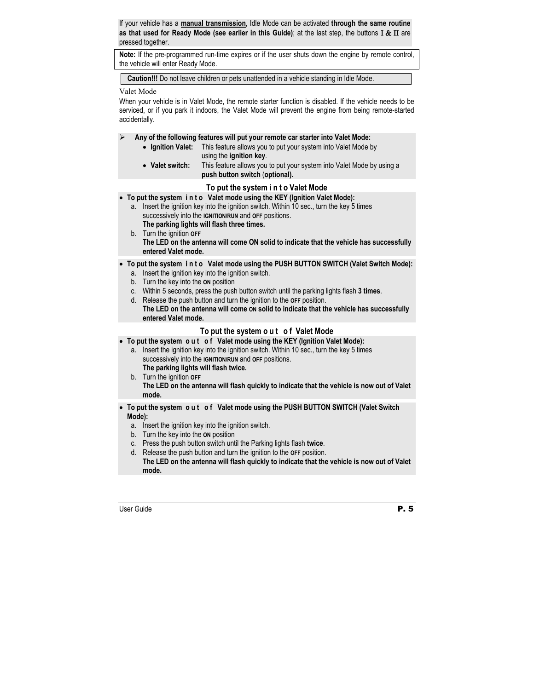If your vehicle has a **manual transmission**, Idle Mode can be activated **through the same routine as that used for Ready Mode (see earlier in this Guide)**; at the last step, the buttons Ι & ΙΙ are pressed together.

**Note:** If the pre-programmed run-time expires or if the user shuts down the engine by remote control, the vehicle will enter Ready Mode.

**Caution!!!** Do not leave children or pets unattended in a vehicle standing in Idle Mode.

#### Valet Mode

When your vehicle is in Valet Mode, the remote starter function is disabled. If the vehicle needs to be serviced, or if you park it indoors, the Valet Mode will prevent the engine from being remote-started accidentally.

- ¾ **Any of the following features will put your remote car starter into Valet Mode:** 
	- **Ignition Valet:** This feature allows you to put your system into Valet Mode by using the **ignition key**.
	- **Valet switch:** This feature allows you to put your system into Valet Mode by using a  **push button switch** (**optional).**

#### **To put the system i n t o Valet Mode**

• **To put the system i n t o Valet mode using the KEY (Ignition Valet Mode):** 

a. Insert the ignition key into the ignition switch. Within 10 sec., turn the key 5 times successively into the **IGNITION/RUN** and **OFF** positions.

**The parking lights will flash three times.** 

b. Turn the ignition **OFF The LED on the antenna will come ON solid to indicate that the vehicle has successfully entered Valet mode.** 

#### • **To put the system i n t o Valet mode using the PUSH BUTTON SWITCH (Valet Switch Mode):**

- a. Insert the ignition key into the ignition switch.
- b. Turn the key into the **ON** position
- c. Within 5 seconds, press the push button switch until the parking lights flash **3 times**.
- d. Release the push button and turn the ignition to the **OFF** position.

 **The LED on the antenna will come ON solid to indicate that the vehicle has successfully entered Valet mode.** 

#### **To put the system o u t o f Valet Mode**

#### • **To put the system o u t o f Valet mode using the KEY (Ignition Valet Mode):**

- a. Insert the ignition key into the ignition switch. Within 10 sec., turn the key 5 times successively into the **IGNITION/RUN** and **OFF** positions.
	- **The parking lights will flash twice.**
- b. Turn the ignition **OFF The LED on the antenna will flash quickly to indicate that the vehicle is now out of Valet mode.**

#### • **To put the system o u t o f Valet mode using the PUSH BUTTON SWITCH (Valet Switch Mode):**

- a. Insert the ignition key into the ignition switch.
- b. Turn the key into the **ON** position
- c. Press the push button switch until the Parking lights flash **twice**.
- d. Release the push button and turn the ignition to the **OFF** position.  **The LED on the antenna will flash quickly to indicate that the vehicle is now out of Valet mode.**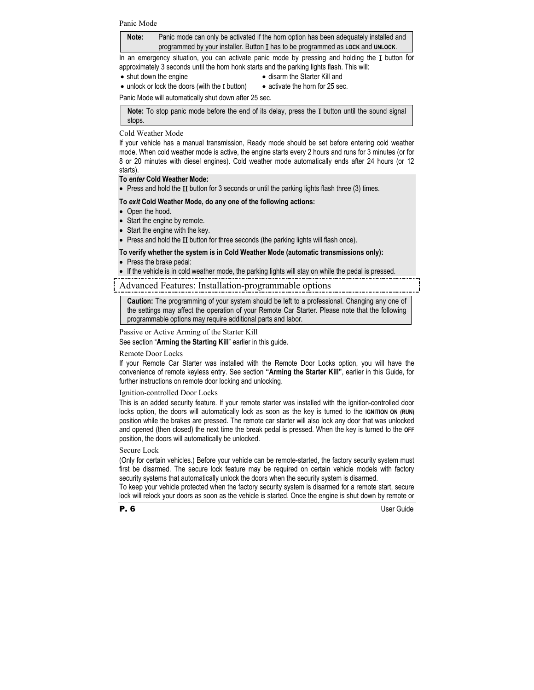**Note:** Panic mode can only be activated if the horn option has been adequately installed and programmed by your installer. Button Ι has to be programmed as **LOCK** and **UNLOCK**.

In an emergency situation, you can activate panic mode by pressing and holding the Ι button for approximately 3 seconds until the horn honk starts and the parking lights flash. This will:

• shut down the engine

- disarm the Starter Kill and
- unlock or lock the doors (with the I button)
- activate the horn for 25 sec.

Panic Mode will automatically shut down after 25 sec.

**Note:** To stop panic mode before the end of its delay, press the Ι button until the sound signal stops.

#### Cold Weather Mode

If your vehicle has a manual transmission, Ready mode should be set before entering cold weather mode. When cold weather mode is active, the engine starts every 2 hours and runs for 3 minutes (or for 8 or 20 minutes with diesel engines). Cold weather mode automatically ends after 24 hours (or 12 starts).

#### **To** *enter* **Cold Weather Mode:**

• Press and hold the II button for 3 seconds or until the parking lights flash three (3) times.

#### **To** *exit* **Cold Weather Mode, do any one of the following actions:**

- Open the hood.
- Start the engine by remote.
- Start the engine with the key.
- Press and hold the II button for three seconds (the parking lights will flash once).

#### **To verify whether the system is in Cold Weather Mode (automatic transmissions only):**

- Press the brake pedal:
- If the vehicle is in cold weather mode, the parking lights will stay on while the pedal is pressed.

#### Advanced Features: Installation-programmable options

**Caution:** The programming of your system should be left to a professional. Changing any one of the settings may affect the operation of your Remote Car Starter. Please note that the following programmable options may require additional parts and labor.

#### Passive or Active Arming of the Starter Kill

See section "**Arming the Starting Kill**" earlier in this guide.

Remote Door Locks

If your Remote Car Starter was installed with the Remote Door Locks option, you will have the convenience of remote keyless entry. See section **"Arming the Starter Kill"**, earlier in this Guide, for further instructions on remote door locking and unlocking.

Ignition-controlled Door Locks

This is an added security feature. If your remote starter was installed with the ignition-controlled door locks option, the doors will automatically lock as soon as the key is turned to the **IGNITION ON (RUN)** position while the brakes are pressed. The remote car starter will also lock any door that was unlocked and opened (then closed) the next time the break pedal is pressed. When the key is turned to the **OFF** position, the doors will automatically be unlocked.

#### Secure Lock

(Only for certain vehicles.) Before your vehicle can be remote-started, the factory security system must first be disarmed. The secure lock feature may be required on certain vehicle models with factory security systems that automatically unlock the doors when the security system is disarmed.

To keep your vehicle protected when the factory security system is disarmed for a remote start, secure lock will relock your doors as soon as the vehicle is started. Once the engine is shut down by remote or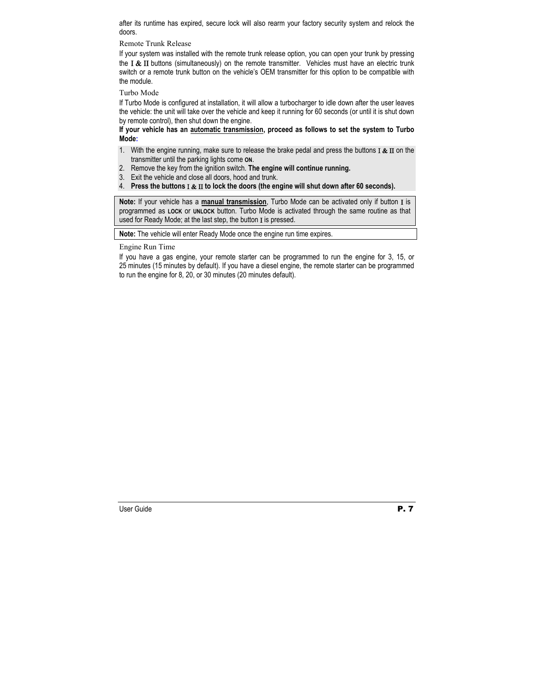after its runtime has expired, secure lock will also rearm your factory security system and relock the doors.

Remote Trunk Release

If your system was installed with the remote trunk release option, you can open your trunk by pressing the **Ι & ΙΙ** buttons (simultaneously) on the remote transmitter. Vehicles must have an electric trunk switch or a remote trunk button on the vehicle's OEM transmitter for this option to be compatible with the module.

Turbo Mode

If Turbo Mode is configured at installation, it will allow a turbocharger to idle down after the user leaves the vehicle: the unit will take over the vehicle and keep it running for 60 seconds (or until it is shut down by remote control), then shut down the engine.

#### **If your vehicle has an automatic transmission, proceed as follows to set the system to Turbo Mode:**

- 1. With the engine running, make sure to release the brake pedal and press the buttons **I & II** on the transmitter until the parking lights come **ON**.
- 2. Remove the key from the ignition switch. **The engine will continue running.**
- 3. Exit the vehicle and close all doors, hood and trunk.
- 4. **Press the buttons** Ι & ΙΙ **to lock the doors (the engine will shut down after 60 seconds).**

**Note:** If your vehicle has a **manual transmission**, Turbo Mode can be activated only if button Ι is programmed as **LOCK** or **UNLOCK** button. Turbo Mode is activated through the same routine as that used for Ready Mode; at the last step, the button I is pressed.

**Note:** The vehicle will enter Ready Mode once the engine run time expires.

Engine Run Time

If you have a gas engine, your remote starter can be programmed to run the engine for 3, 15, or 25 minutes (15 minutes by default). If you have a diesel engine, the remote starter can be programmed to run the engine for 8, 20, or 30 minutes (20 minutes default).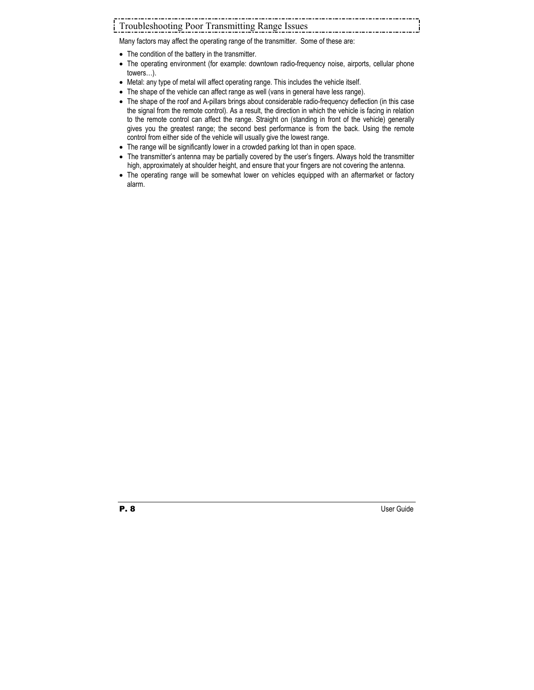# Troubleshooting Poor Transmitting Range Issues

Many factors may affect the operating range of the transmitter. Some of these are:

- The condition of the battery in the transmitter.
- The operating environment (for example: downtown radio-frequency noise, airports, cellular phone towers…).
- Metal: any type of metal will affect operating range. This includes the vehicle itself.
- The shape of the vehicle can affect range as well (vans in general have less range).
- The shape of the roof and A-pillars brings about considerable radio-frequency deflection (in this case the signal from the remote control). As a result, the direction in which the vehicle is facing in relation to the remote control can affect the range. Straight on (standing in front of the vehicle) generally gives you the greatest range; the second best performance is from the back. Using the remote control from either side of the vehicle will usually give the lowest range.
- The range will be significantly lower in a crowded parking lot than in open space.
- The transmitter's antenna may be partially covered by the user's fingers. Always hold the transmitter high, approximately at shoulder height, and ensure that your fingers are not covering the antenna.
- The operating range will be somewhat lower on vehicles equipped with an aftermarket or factory alarm.